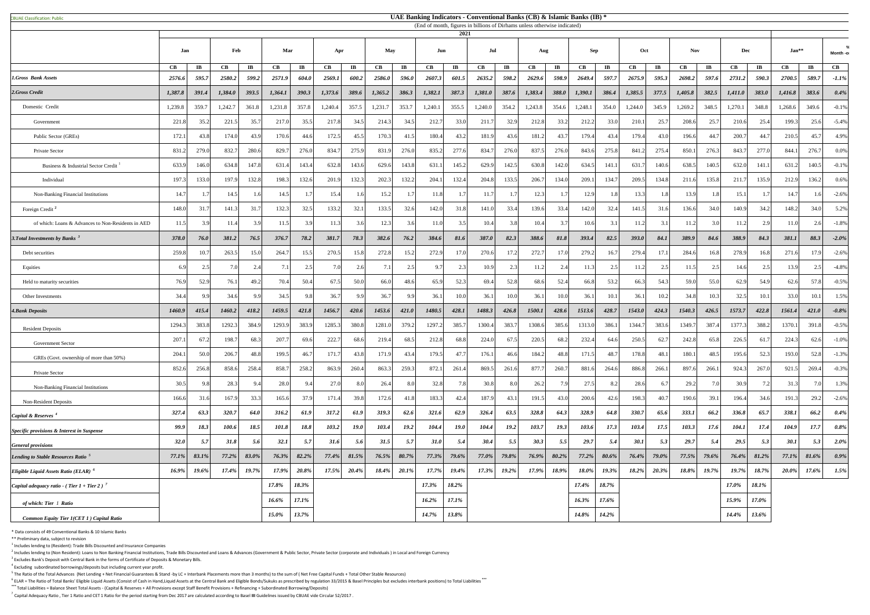<sup>6</sup> ELAR = The Ratio of Total Banks' Eligible Liquid Assets (Consist of Cash in Hand,Liquid Assets at the Central Bank and Eligible Bonds/Sukuks as prescribed by regulation 33/2015 & Basel Principles but excludes interbank **\*\*\*** Total Liabilities = Balance Sheet Total Assets - (Capital & Reserves + All Provisions except Staff Benefit Provisions + Refinancing + Subordinated Borrowing/Deposits)

<sup>7</sup> Capital Adequacy Ratio, Tier 1 Ratio and CET 1 Ratio for the period starting from Dec 2017 are calculated according to Basel III Guidelines issued by CBUAE vide Circular 52/2017.

|                                                           |               |                        |             |                        |         |                        |         |                         |         |                        |                        | 2021                   |         |                        | (End of month, figures in billions of Dirhams unless otherwise indicated) |                        |                      |                       |          |                        |         |                         |                        |                        |             |                        |                        |  |
|-----------------------------------------------------------|---------------|------------------------|-------------|------------------------|---------|------------------------|---------|-------------------------|---------|------------------------|------------------------|------------------------|---------|------------------------|---------------------------------------------------------------------------|------------------------|----------------------|-----------------------|----------|------------------------|---------|-------------------------|------------------------|------------------------|-------------|------------------------|------------------------|--|
|                                                           | Jan           |                        | Feb         |                        |         | Mar                    |         | <b>May</b><br>Apr       |         | Jun                    |                        |                        | Jul     |                        | Aug                                                                       |                        | Sep                  |                       | Oct      | <b>Nov</b>             |         |                         | Dec                    |                        | $Jan**$     |                        | Month -o               |  |
|                                                           | $\mathbf{CB}$ | $\mathbf{I}\mathbf{B}$ | CB          | $\mathbf{I}\mathbf{B}$ | CB      | $\mathbf{I}\mathbf{B}$ | CB      | $\mathbf{I} \mathbf{B}$ | CB      | $\mathbf{I}\mathbf{B}$ | $\mathbf{C}\mathbf{B}$ | $\mathbf{I}\mathbf{B}$ | CB      | $\mathbf{I}\mathbf{B}$ | $\mathbf{CB}$                                                             | $\mathbf{I}\mathbf{B}$ | $\mathbf C\mathbf B$ | $\mathbf{I}$ <b>B</b> | CB       | $\mathbf{I}\mathbf{B}$ | CB      | $\mathbf{I} \mathbf{B}$ | $\mathbf{C}\mathbf{B}$ | $\mathbf{I}\mathbf{B}$ | CB          | $\mathbf{I}\mathbf{B}$ | $\mathbf{C}\mathbf{B}$ |  |
| <b>1.Gross Bank Assets</b>                                | 2576.6        | 595.7                  | 2580.2      | 599.2                  | 2571.9  | 604.0                  | 2569.1  | 600.2                   | 2586.0  | 596.0                  | 2607.3                 | 601.5                  | 2635.2  | 598.2                  | 2629.6                                                                    | 598.9                  | 2649.4               | 597.7                 | 2675.9   | 595.3                  | 2698.2  | 597.6                   | 2731.2                 | 590.3                  | 2700.5      | 589.7                  | $-1.1\%$               |  |
| 2.Gross Credit                                            | 1,387.8       | 391.4                  | 1,384.0     | 393.5                  | 1,364.1 | 390.3                  | 1,373.6 | 389.6                   | 1,365.2 | 386.3                  | 1,382.1                | 387.3                  | 1,381.0 | 387.6                  | 1,383.4                                                                   | <b>388.0</b>           | 1,390.1              | 386.4                 | 1,385.5  | 377.5                  | 1,405.8 | 382.5                   | 1,411.0                | 383.0                  | 1,416.8     | 383.6                  | 0.4%                   |  |
| Domestic Credit                                           | 1,239.8       | 359.7                  | 1,242.7     | 361.8                  | 1,231.8 | 357.8                  | 1,240.4 | 357.5                   | 1,231.7 | 353.7                  | 1,240.1                | 355.5                  | 1,240.0 | 354.2                  | 1,243.8                                                                   | 354.6                  | 1,248.1              | 354.0                 | 1,244.0  | 345.9                  | 1,269.2 | 348.5                   | 1,270.1                | 348.8                  | 1,268.6     | 349.6                  | $-0.1\%$               |  |
| Government                                                | 221.8         | 35.2                   | 221.5       | 35.7                   | 217.0   | 35.5                   | 217.8   | 34.5                    | 214.3   | 34.5                   | 212.7                  | 33.0                   | 211.7   | 32.9                   | 212.8                                                                     | 33.2                   | 212.2                | 33.0                  | 210.1    | 25.7                   | 208.6   | 25.7                    | 210.6                  | 25.4                   | 199.3       | 25.6                   | $-5.4\%$               |  |
| Public Sector (GREs)                                      | 172.1         | 43.8                   | 174.0       | 43.9                   | 170.6   | 44.6                   | 172.5   | 45.5                    | 170.3   | 41.5                   | 180.4                  | 43.2                   | 181.9   | 43.6                   | 181.2                                                                     | 43.7                   | 179.4                | 43.4                  | 179.4    | 43.0                   | 196.6   | 44.7                    | 200.7                  | 44.                    | 210.5       | 45.7                   | 4.9%                   |  |
| Private Sector                                            | 831.2         | 279.0                  | 832.7       | 280.6                  | 829.7   | 276.0                  | 834.    | 275.9                   | 831.9   | 276.0                  | 835.2                  | 277.6                  | 834.7   | 276.0                  | 837.5                                                                     | 276.0                  | 843.6                | 275.8                 | 841.2    | 275.4                  | 850.1   | 276.3                   | 843.7                  | 277.0                  | 844.1       | 276.7                  | $0.0\%$                |  |
| Business & Industrial Sector Credit                       | 633.9         | 146.0                  | 634.8       | 147.8                  | 631.4   | 143.4                  | 632.8   | 143.6                   | 629.6   | 143.8                  | 631.                   | 145.2                  | 629.9   | 142.5                  | 630.8                                                                     | 142.0                  | 634.5                | 141.1                 | 631.     | 140.6                  | 638.5   | 140.5                   | 632.                   | 141.1                  | 631.2       | 140.5                  | $-0.1%$                |  |
| Individual                                                | 197.3         | 133.0                  | 197.9       | 132.8                  | 198.3   | 132.6                  | 201.9   | 132.3                   | 202.3   | 132.2                  | 204.1                  | 132.4                  | 204.8   | 133.5                  | 206.7                                                                     | 134.0                  | 209.1                | 134.7                 | 209.5    | 134.8                  | 211.6   | 135.8                   | 211.7                  | 135.9                  | 212.9       | 136.2                  | $0.6\%$                |  |
| Non-Banking Financial Institutions                        | 14.7          |                        | 14.5        |                        | 14.5    | 17                     | 15.4    |                         | 15.2    |                        | 11.8                   |                        | 11.7    |                        | 12.3                                                                      |                        | 12.9                 |                       | 13.3     | 18                     | 13.9    |                         | 15.1                   |                        | 14.7        | 1.6                    | $-2.6\%$               |  |
| Foreign Credit <sup>2</sup>                               | 148.0         | 31.7                   | 141.3       | 31.7                   | 132.3   | 32.5                   | 133.2   | 32.1                    | 133.5   | 32.6                   | 142.0                  | 31.8                   | 141.0   | 33.4                   | 139.6                                                                     | 33.4                   | 142.0                | 32.4                  | 141.5    | 31.6                   | 136.6   | 34.0                    | 140.9                  | 34.3                   | 148.2       | 34.0                   | 5.2%                   |  |
| of which: Loans & Advances to Non-Residents in AED        | 11.5          |                        | 11.4        | 3.9                    | 11.5    | 3.9                    |         |                         | 12.3    |                        | 11.0                   | 3.5                    | 10.4    | 3.8                    | 10.4                                                                      |                        | 10.6                 | 3.1                   | 11.2     | 3.1                    | 11.2    | 3.0                     | 11.2                   |                        | 11.0        | 2.6                    | $-1.8\%$               |  |
| 3. Total Investments by Banks $3$                         | 378.0         | 76.0                   | 381.2       | 76.5                   | 376.7   | 78.2                   | 381.7   | 78.3                    | 382.6   | 76.2                   | 384.6                  | 81.6                   | 387.0   | 82.3                   | 388.6                                                                     | 81.8                   | 393.4                | 82.5                  | 393.0    | 84.1                   | 389.9   | 84.6                    | 388.9                  | 84.3                   | 381.1       | 88.3                   | $-2.0\%$               |  |
| Debt securities                                           | 259.8         | 10.7                   | 263.5       | 15.0                   | 264.7   | 15.5                   | 270.5   | 15.8                    | 272.8   | 15.2                   | 272.9                  | 17.0                   | 270.6   | 17.2                   | 272.7                                                                     | 17.0                   | 279.2                | 16.7                  | 279.4    |                        | 284.6   | 16.8                    | 278.9                  | 16.8                   | 271.6       | 17.9                   | $-2.6\%$               |  |
| Equities                                                  | 6.9           | 2.5                    | 7.0         | 2.4                    |         | 2.5                    |         |                         | 7.1     | 2.5                    | 9.7                    | 2.3                    | 10.9    | 2.3                    | 11.2                                                                      | 2.4                    | 11.3                 | 2.5                   | 11.2     | 2.5                    | 11.5    | 2.5                     | 14.6                   | 2.5                    | 13.9        | 2.5                    | $-4.8\%$               |  |
| Held to maturity securities                               | 76.91         | 52.9                   | 76.1        | 49.2                   | 70.4    | 50.4                   | 67.5    | 50.0                    | 66.0    | 48.6                   | 65.9                   | 52.3                   | 69.4    | 52.8                   | 68.6                                                                      | 52.4                   | 66.8                 | 53.2                  | 66.3     | 54.3                   | 59.0    | 55.0                    | 62.9                   | 54.9                   | 62.6        | 57.8                   | $-0.5\%$               |  |
| Other Investments                                         | 34.4          |                        | 34.6        | 9.9                    | 34.5    | 9.8                    | 36.7    |                         | 36.7    | 9.9                    | 36.1                   | 10.0                   | 36.1    | 10.0                   | 36.1                                                                      | 10.0                   | 36.1                 | 10.1                  | 36.1     |                        | 34.8    | 10.3                    | 32.5                   | 10.1                   | 33.0        | 10.1                   | 1.5%                   |  |
| <b>4. Bank Deposits</b>                                   | 1460.9        | 415.4                  | 1460.2      | 418.2                  | 1459.5  | 421.8                  | 1456.7  | 420.6                   | 1453.6  | 421.0                  | 1480.5                 | 428.1                  | 1488.3  | 426.8                  | 1500.1                                                                    | 428.6                  | 1513.6               | 428.7                 | 1543.0   | 424.3                  | 1540.3  | 426.5                   | 1573.7                 | 422.8                  | 1561.4      | 421.0                  | $-0.8\%$               |  |
| <b>Resident Deposits</b>                                  | 1294.3        | 383.8                  | 1292.3      | 384.9                  | 1293.9  | 383.9                  | 1285.3  | 380.8                   | 1281.   | 379.2                  | 1297.2                 | 385.7                  | 1300.4  | 383.7                  | 1308.6                                                                    | 385.6                  | 1313.0               | 386.1                 | 1344.    | 383.6                  | 1349.7  | 387.4                   | 1377.3                 | 388.2                  | 1370.1      | 391.8                  | $-0.5%$                |  |
| <b>Government Sector</b>                                  | 207.1         | 67.2                   | 198.7       | 68.3                   | 207.7   | 69.6                   | 222.    | 68.6                    | 219.4   | 68.5                   | 212.8                  | 68.8                   | 224.0   | 67.5                   | 220.5                                                                     | 68.2                   | 232.4                | 64.6                  | 250.5    | 62.7                   | 242.8   | 65.8                    | 226.5                  | 61.                    | 224.3       | 62.6                   | $-1.0\%$               |  |
| GREs (Govt. ownership of more than 50%)                   | 204.1         | 50.0                   | 206.7       | 48.8                   | 199.5   | 46.7                   | 171.    | 43.8                    | 171.9   | 43.4                   | 179.5                  | 47.7                   | 176.1   | 46.6                   | 184.2                                                                     | 48.8                   | 171.5                | 48.                   | 178.8    | 48.1                   | 180.1   | 48.5                    | 195.6                  | 52.3                   | 193.0       | 52.8                   | $-1.3\%$               |  |
| Private Sector                                            | 852.6         | 256.8                  | 858.6       | 258.4                  | 858.7   | 258.2                  | 863.9   | 260.4                   | 863.3   | 259.3                  | 872.1                  | 261.4                  | 869.5   | 261.6                  | 877.                                                                      | 260.7                  | 881.6                | 264.6                 | 886.8    | 266.1                  | 897.6   | 266.1                   | 924.3                  | 267.0                  | 921.5       | 269.4                  | $-0.3\%$               |  |
| Non-Banking Financial Institutions                        | 30.5          |                        | 28.3        | $Q \Delta$             | 28.0    | $9\Delta$              | 27.0    |                         | 26.4    | 8.0                    | 32.8                   |                        | 30.8    | 8.0                    | 26.2                                                                      |                        | 27.5                 |                       | 28.6     |                        | 29.2    |                         | 30.9                   |                        | 31.3        | 7.0                    | 1.3%                   |  |
| <b>Non-Resident Deposits</b>                              | 166.6         | 31.6                   | 167.9       | 33.3                   | 165.6   | 37.9                   | 171.4   | 39.8                    | 172.6   | 41.8                   | 183.3                  | 42.4                   | 187.9   | 43.1                   | 191.5                                                                     | 43.0                   | 200.6                | 42.6                  | 198.3    | 40.7                   | 190.6   | 39.1                    | 196.4                  | 34.6                   | 191.3       | 29.2                   | $-2.6\%$               |  |
| Capital & Reserves <sup>4</sup>                           | 327.4         | 63.3                   | 320.7       | 64.0                   | 316.2   | 61.9                   | 317.2   | 61.9                    | 319.3   | 62.6                   | 321.6                  | 62.9                   | 326.4   | 63.5                   | 328.8                                                                     | 64.3                   | 328.9                | 64.8                  | 330.7    | 65.6                   | 333.1   | 66.2                    | 336.8                  | 65.7                   | 338.1       | 66.2                   | $0.4\%$                |  |
| <b>Specific provisions &amp; Interest in Suspense</b>     | 99.9          | 18.3                   | 100.6       | 18.5                   | 101.8   | 18.8                   | 103.2   | <b>19.0</b>             | 103.4   | 19.2                   | 104.4                  | <b>19.0</b>            | 104.4   | <b>19.2</b>            | 103.7                                                                     | 19.3                   | 103.6                | 17.3                  | 103.4    | 17.5                   | 103.3   | 17.6                    | 104.1                  | 17.4                   | 104.9       | 17.7                   | $0.8\%$                |  |
| <b>General provisions</b>                                 | 32.0          | 5.7                    | <b>31.8</b> | 5.6                    | 32.1    | 5.7                    | 31.6    | 5.6                     | 31.5    | 5.7                    | <b>31.0</b>            | 5.4                    | 30.4    | 5.5                    | 30.3                                                                      | 5.5                    | 29.7                 | 5.4                   | 30.1     | 5.3                    | 29.7    | 5.4                     | 29.5                   | 5.3                    | <b>30.1</b> | 5.3                    | $2.0\%$                |  |
| Lending to Stable Resources Ratio <sup>5</sup>            | 77.1%         | 83.1%                  | 77.2%       | 83.0%                  | 76.3%   | 82.2%                  | 77.4%   | $81.5\%$                | 76.5%   | 80.7%                  | 77.3%                  | 79.6%                  | 77.0%   | 79.8%                  | 76.9%                                                                     | $80.2\%$               | 77.2%                | $80.6\%$              | $76.4\%$ | 79.0%                  | 77.5%   | 79.6%                   | 76.4%                  | 81.2%                  | 77.1%       | $81.6\%$               | $0.9\%$                |  |
| <b>Eligible Liquid Assets Ratio (ELAR)</b> <sup>6</sup>   | 16.9%         | 19.6%                  | 17.4%       | 19.7%                  | 17.9%   | 20.8%                  | 17.5%   | $20.4\%$                | 18.4%   | 20.1%                  | 17.7%                  | $19.4\%$               | 17.3%   | 19.2%                  | $17.9\%$                                                                  | 18.9%                  | 18.0%                | 19.3%                 | 18.2%    | 20.3%                  | 18.8%   | $19.7\%$                | 19.7%                  | 18.7%                  | $20.0\%$    | 17.6%                  | $1.5\%$                |  |
| Capital adequacy ratio - (Tier $1 +$ Tier 2) <sup>7</sup> |               |                        |             |                        | 17.8%   | 18.3%                  |         |                         |         |                        | 17.3%                  | 18.2%                  |         |                        |                                                                           |                        | 17.4%                | 18.7%                 |          |                        |         |                         | 17.0%                  | 18.1%                  |             |                        |                        |  |
| of which: Tier 1 Ratio                                    |               |                        |             |                        | 16.6%   | 17.1%                  |         |                         |         |                        | $16.2\%$               | 17.1%                  |         |                        |                                                                           |                        | $16.3\%$             | 17.6%                 |          |                        |         |                         | 15.9%                  | 17.0%                  |             |                        |                        |  |
| <b>Common Equity Tier 1(CET 1) Capital Ratio</b>          |               |                        |             |                        | 15.0%   | 13.7%                  |         |                         |         |                        | 14.7%                  | 13.8%                  |         |                        |                                                                           |                        | 14.8%                | 14.2%                 |          |                        |         |                         | 14.4%                  | 13.6%                  |             |                        |                        |  |

\* Data consists of 49 Conventional Banks & 10 Islamic Banks

\*\* Preliminary data, subject to revision

 $<sup>1</sup>$  Includes lending to (Resident): Trade Bills Discounted and Insurance Companies</sup>

 $^2$  Includes lending to (Non Resident): Loans to Non Banking Financial Institutions, Trade Bills Discounted and Loans & Advances (Government & Public Sector, Private Sector (corporate and Individuals) in Local and Foreig <sup>3</sup> Excludes Bank's Deposit with Central Bank in the forms of Certificate of Deposits & Monetary Bills.

<sup>4</sup> Excluding subordinated borrowings/deposits but including current year profit.

<sup>5</sup> The Ratio of the Total Advances (Net Lending + Net Financial Guarantees & Stand -by LC + Interbank Placements more than 3 months) to the sum of (Net Free Capital Funds + Total Other Stable Resources)

## **UAE Banking Indicators - Conventional Banks (CB) & Islamic Banks (IB) \***